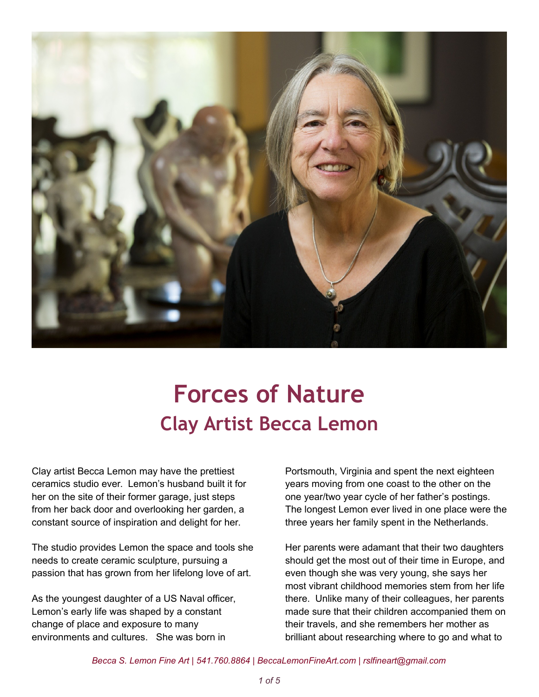

## **Forces of Nature Clay Artist Becca Lemon**

Clay artist Becca Lemon may have the prettiest ceramics studio ever. Lemon's husband built it for her on the site of their former garage, just steps from her back door and overlooking her garden, a constant source of inspiration and delight for her.

The studio provides Lemon the space and tools she needs to create ceramic sculpture, pursuing a passion that has grown from her lifelong love of art.

As the youngest daughter of a US Naval officer, Lemon's early life was shaped by a constant change of place and exposure to many environments and cultures. She was born in

Portsmouth, Virginia and spent the next eighteen years moving from one coast to the other on the one year/two year cycle of her father's postings. The longest Lemon ever lived in one place were the three years her family spent in the Netherlands.

Her parents were adamant that their two daughters should get the most out of their time in Europe, and even though she was very young, she says her most vibrant childhood memories stem from her life there. Unlike many of their colleagues, her parents made sure that their children accompanied them on their travels, and she remembers her mother as brilliant about researching where to go and what to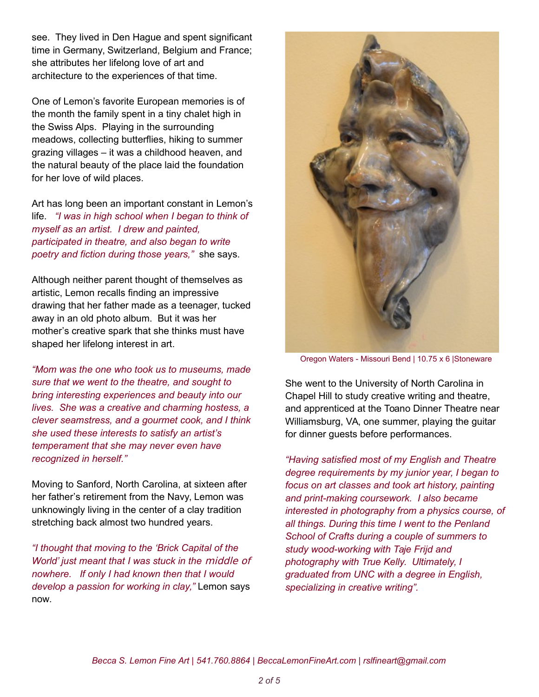see. They lived in Den Hague and spent significant time in Germany, Switzerland, Belgium and France; she attributes her lifelong love of art and architecture to the experiences of that time.

One of Lemon's favorite European memories is of the month the family spent in a tiny chalet high in the Swiss Alps. Playing in the surrounding meadows, collecting butterflies, hiking to summer grazing villages – it was a childhood heaven, and the natural beauty of the place laid the foundation for her love of wild places.

Art has long been an important constant in Lemon's life. *"I was in high school when I began to think of myself as an artist. I drew and painted, participated in theatre, and also began to write poetry and fiction during those years,"* she says.

Although neither parent thought of themselves as artistic, Lemon recalls finding an impressive drawing that her father made as a teenager, tucked away in an old photo album. But it was her mother's creative spark that she thinks must have shaped her lifelong interest in art.

*"Mom was the one who took us to museums, made sure that we went to the theatre, and sought to bring interesting experiences and beauty into our lives. She was a creative and charming hostess, a clever seamstress, and a gourmet cook, and I think she used these interests to satisfy an artist's temperament that she may never even have recognized in herself."*

Moving to Sanford, North Carolina, at sixteen after her father's retirement from the Navy, Lemon was unknowingly living in the center of a clay tradition stretching back almost two hundred years.

*"I thought that moving to the 'Brick Capital of the World' just meant that I was stuck in the* middle of *nowhere. If only I had known then that I would develop a passion for working in clay,"* Lemon says now.



Oregon Waters - Missouri Bend | 10.75 x 6 |Stoneware

She went to the University of North Carolina in Chapel Hill to study creative writing and theatre, and apprenticed at the Toano Dinner Theatre near Williamsburg, VA, one summer, playing the guitar for dinner guests before performances.

*"Having satisfied most of my English and Theatre degree requirements by my junior year, I began to focus on art classes and took art history, painting and print-making coursework. I also became interested in photography from a physics course, of all things. During this time I went to the Penland School of Crafts during a couple of summers to study wood-working with Taje Frijd and photography with True Kelly. Ultimately, I graduated from UNC with a degree in English, specializing in creative writing".*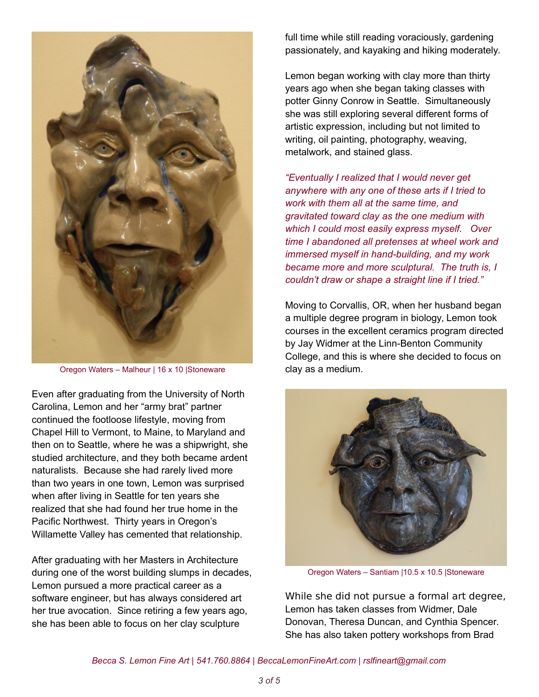

Oregon Waters – Malheur | 16 x 10 |Stoneware

Even after graduating from the University of North Carolina, Lemon and her "army brat" partner continued the footloose lifestyle, moving from Chapel Hill to Vermont, to Maine, to Maryland and then on to Seattle, where he was a shipwright, she studied architecture, and they both became ardent naturalists. Because she had rarely lived more than two years in one town, Lemon was surprised when after living in Seattle for ten years she realized that she had found her true home in the Pacific Northwest. Thirty years in Oregon's Willamette Valley has cemented that relationship.

After graduating with her Masters in Architecture during one of the worst building slumps in decades, Lemon pursued a more practical career as a software engineer, but has always considered art her true avocation. Since retiring a few years ago, she has been able to focus on her clay sculpture

full time while still reading voraciously, gardening passionately, and kayaking and hiking moderately.

Lemon began working with clay more than thirty years ago when she began taking classes with potter Ginny Conrow in Seattle. Simultaneously she was still exploring several different forms of artistic expression, including but not limited to writing, oil painting, photography, weaving, metalwork, and stained glass.

*"Eventually I realized that I would never get anywhere with any one of these arts if I tried to work with them all at the same time, and gravitated toward clay as the one medium with which I could most easily express myself. Over time I abandoned all pretenses at wheel work and immersed myself in hand-building, and my work became more and more sculptural. The truth is, I couldn't draw or shape a straight line if I tried."*

Moving to Corvallis, OR, when her husband began a multiple degree program in biology, Lemon took courses in the excellent ceramics program directed by Jay Widmer at the Linn-Benton Community College, and this is where she decided to focus on clay as a medium.



Oregon Waters – Santiam |10.5 x 10.5 |Stoneware

While she did not pursue a formal art degree, Lemon has taken classes from Widmer, Dale Donovan, Theresa Duncan, and Cynthia Spencer. She has also taken pottery workshops from Brad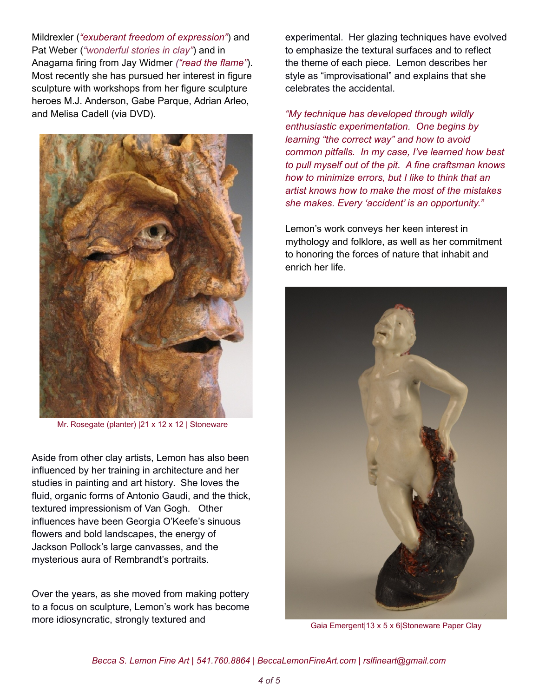Mildrexler (*"exuberant freedom of expression"*) and Pat Weber (*"wonderful stories in clay"*) and in Anagama firing from Jay Widmer *("read the flame"*). Most recently she has pursued her interest in figure sculpture with workshops from her figure sculpture heroes M.J. Anderson, Gabe Parque, Adrian Arleo, and Melisa Cadell (via DVD).



Mr. Rosegate (planter) |21 x 12 x 12 | Stoneware

Aside from other clay artists, Lemon has also been influenced by her training in architecture and her studies in painting and art history. She loves the fluid, organic forms of Antonio Gaudi, and the thick, textured impressionism of Van Gogh. Other influences have been Georgia O'Keefe's sinuous flowers and bold landscapes, the energy of Jackson Pollock's large canvasses, and the mysterious aura of Rembrandt's portraits.

Over the years, as she moved from making pottery to a focus on sculpture, Lemon's work has become more idiosyncratic, strongly textured and

experimental. Her glazing techniques have evolved to emphasize the textural surfaces and to reflect the theme of each piece. Lemon describes her style as "improvisational" and explains that she celebrates the accidental.

*"My technique has developed through wildly enthusiastic experimentation. One begins by learning "the correct way" and how to avoid common pitfalls. In my case, I've learned how best to pull myself out of the pit. A fine craftsman knows how to minimize errors, but I like to think that an artist knows how to make the most of the mistakes she makes. Every 'accident' is an opportunity."*

Lemon's work conveys her keen interest in mythology and folklore, as well as her commitment to honoring the forces of nature that inhabit and enrich her life.



Gaia Emergent|13 x 5 x 6|Stoneware Paper Clay